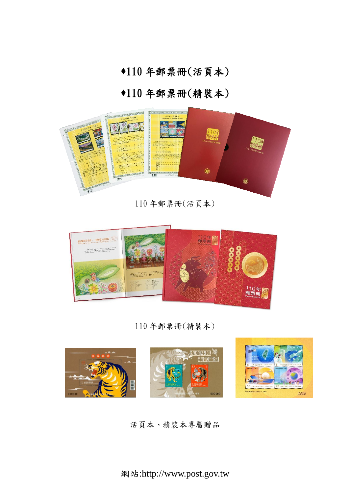年郵票冊(活頁本)

# 年郵票冊(精裝本)



年郵票冊(活頁本)



年郵票冊(精裝本)



活頁本、精裝本專屬贈品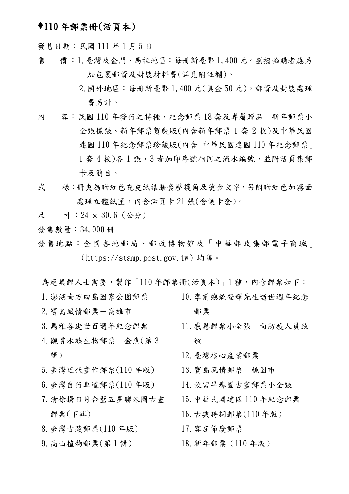## 110 年郵票冊(活頁本)

發售日期:民國111年1月5日

- 售 價:1.臺灣及金門、馬祖地區:每冊新臺幣 1,400 元。劃撥函購者應另 加包裹郵資及封裝材料費(詳見附註欄)。
	- 2.國外地區:每冊新臺幣 1,400 元(美金 50 元),郵資及封裝處理 費另計。
- 內 容:民國110年發行之特種、紀念郵票18套及專屬贈品一新年郵票小 全張樣張、新年郵票賀歲版(內含新年郵票 1 套 2 枚)及中華民國 建國 110 年紀念郵票珍藏版(內含「中華民國建國 110 年紀念郵票」 1 套 4 枚)各 1 張, 3 者加印序號相同之流水編號, 並附活頁集郵 卡及簡目。
- 式 樣:冊夾為暗紅色充皮紙裱膠套壓護角及湯金文字,另附暗紅色加霧面 處理立體紙匣,內含活頁卡 21 張(含護卡套)。
- 尺 寸:24 × 30.6 (公分)
- 發售數量:34,000 冊
- 發售地點:全國各地郵局、郵政博物館及「中華郵政集郵電子商城」 (https://stamp.post.gov.tw)均售。
- 為應集郵人士需要,製作「110年郵票冊(活頁本)」1種,內含郵票如下:
- 
- 2.寶島風情郵票-高雄市
- 3.馬雅各逝世百週年紀念郵票
- 4.觀賞水族生物郵票-金魚(第 3 輯)
- 5.臺灣近代畫作郵票(110 年版)
- 6.臺灣自行車道郵票(110 年版)
- 7.清徐揚日月合璧五星聯珠圖古畫 郵票(下輯)
- 8.臺灣古蹟郵票(110 年版)
- 9.高山植物郵票(第 1 輯)
- 1.澎湖南方四島國家公園郵票 10.李前總統登輝先生逝世週年紀念 郵票
	- 11.感恩郵票小全張-向防疫人員致 敬
	- 12.臺灣核心產業郵票
	- 13.寶島風情郵票-桃園市
	- 14.故宮早春圖古畫郵票小全張
	- 15.中華民國建國 110 年紀念郵票
	- 16.古典詩詞郵票(110 年版)
	- 17.客庄節慶郵票
	- 18.新年郵票(110 年版)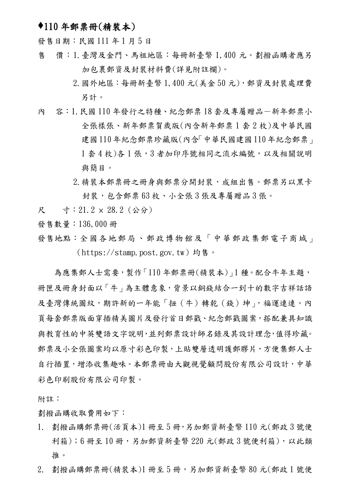### 110 年郵票冊(精裝本)

發售日期:民國 111 年 1 月 5 日

- 售 價:1.臺灣及金門、馬祖地區:每冊新臺幣 1,400 元。劃撥函購者應另 加包裹郵資及封裝材料費(詳見附註欄)。
	- 2.國外地區:每冊新臺幣 1,400 元(美金 50 元),郵資及封裝處理費 另計。
- 內 容: 1.民國110年發行之特種、紀念郵票18套及專屬贈品一新年郵票小 全張樣張、新年郵票賀歲版(內含新年郵票 1 套 2 枚)及中華民國 建國110年紀念郵票珍藏版(內含「中華民國建國110年紀念郵票」 1套4枚)各1張,3者加印序號相同之流水編號,以及相關說明 與簡目。
	- 2.精裝本郵票冊之冊身與郵票分開封裝,成組出售。郵票另以黑卡 封裝, 包含郵票 63 枚、小全張 3 張及專屬贈品 3 張。
- 尺 寸:21.2 × 28.2 (公分)
- 發售數量:136,000 冊
- 發售地點:全國各地郵局 、郵政博物館及「中華郵政集郵電子商城」 (https://stamp.post.gov.tw)均售。

 為應集郵人士需要,製作「110 年郵票冊(精裝本)」1 種。配合牛年主題, 冊匣及冊身封面以「牛」為主體意象,背景以銅錢結合一到十的數字吉祥話語 及臺灣傳統圖紋,期許新的一年能「扭(牛)轉乾(錢)坤」,福運連連。內 頁每套郵票版面穿插精美圖片及發行首日郵戳、紀念郵戳圖案,搭配兼具知識 與教育性的中英雙語文字說明,並列郵票設計師名錄及其設計理念,值得珍藏。 郵票及小全張圖案均以原寸彩色印製,上貼雙層透明護郵膠片,方便集郵人士 自行插置,增添收集趣味。本郵票冊由大觀視覺顧問股份有限公司設計,中華 彩色印刷股份有限公司印製。

附註:

劃撥函購收取費用如下:

- 1. 劃撥函購郵票冊(活頁本)1 冊至 5 冊,另加郵資新臺幣 110 元(郵政 3 號便 利箱);6冊至10冊,另加郵資新臺幣 220元(郵政3號便利箱),以此類 推。
- 2. 劃撥函購郵票冊(精裝本)1 冊至 5 冊,另加郵資新臺幣 80 元(郵政 1 號便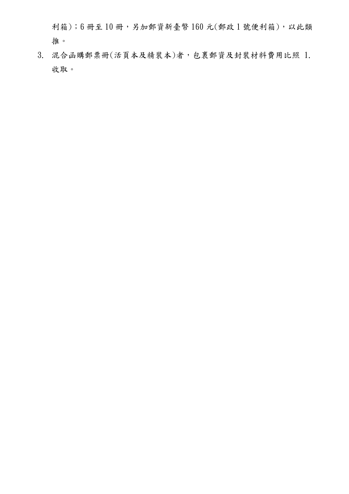利箱);6冊至10冊,另加郵資新臺幣160元(郵政1號便利箱),以此類 推。

3. 混合函購郵票冊(活頁本及精裝本)者,包裹郵資及封裝材料費用比照 1. 收取。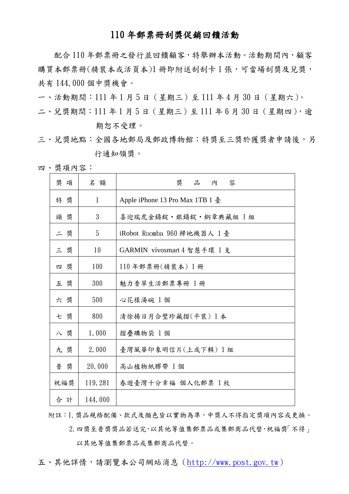### 110 年郵票冊刮獎促銷回饋活動

配合 110 年郵票冊之發行並回饋顧客,特舉辦本活動。活動期間內,顧客 購買本郵票冊(精裝本或活頁本)1 冊即附送刮刮卡1張,可當場刮獎及兌獎, 共有 144,000 個中獎機會。

一、活動期間:111 年 1 月 5 日(星期三)至 111 年 4 月 30 日(星期六)。

二、兌獎期間:111年1月5日 (星期三)至111年6月30日 (星期四),逾 期恕不受理。

三、兌獎地點:全國各地郵局及郵政博物館;特獎至三獎於獲獎者申請後,另 行通知領獎。

四、獎項內容:

| 獎 項 | 名額           | 奬<br>品<br>容<br>內                |
|-----|--------------|---------------------------------|
| 特 獎 | $\mathbf{1}$ | Apple iPhone 13 Pro Max 1TB 1 臺 |
| 頭 獎 | 3            | 喜迎瑞虎金鑄錠 · 銀鑄錠 · 銅章典藏組 1 組       |
| 二 獎 | 5            | iRobot Roomba 960 掃地機器人 1臺      |
| 三獎  | 10           | GARMIN vívosmart 4 智慧手環 1 支     |
| 四 獎 | 100          | $110$ 年郵票冊 $($ 精裝本 $)$ 1 冊      |
| 五獎  | 300          | 魅力香草生活郵票專冊 1冊                   |
| 六 獎 | 500          | 心花樣湯碗 1個                        |
| 七獎  | 800          | 清徐揚日月合璧珍藏摺(平裝) 1本               |
| 八獎  | 1,000        | 摺疊購物袋 1個                        |
| 九獎  | 2,000        | 臺灣風華印象明信片(上或下輯) 1 組             |
| 普獎  | 20,000       | 高山植物紙膠帶 1個                      |
| 祝福獎 | 119, 281     | 春遊臺灣十分幸福 個人化郵票 1 枚              |
| 合計  | 144,000      |                                 |

附註:1.獎品規格配備、款式及顏色皆以實物為準,中獎人不得指定獎項內容或更換。 2.四獎至普獎獎品若送完,以其他等值集郵票品或集郵商品代替,祝福獎「不得」 以其他等值集郵票品或集郵商品代替。

五、其他詳情,請瀏覽本公司網站消息([http://www.post.gov.tw](https://stamp.post.gov.tw/))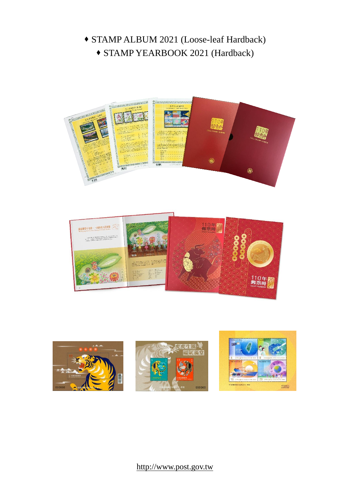# STAMP ALBUM 2021 (Loose-leaf Hardback) STAMP YEARBOOK 2021 (Hardback)







## http://www.post.gov.tw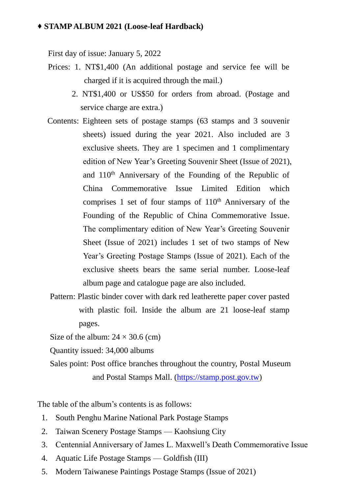### **STAMP ALBUM 2021 (Loose-leaf Hardback)**

First day of issue: January 5, 2022

- Prices: 1. NT\$1,400 (An additional postage and service fee will be charged if it is acquired through the mail.)
	- 2. NT\$1,400 or US\$50 for orders from abroad. (Postage and service charge are extra.)
- Contents: Eighteen sets of postage stamps (63 stamps and 3 souvenir sheets) issued during the year 2021. Also included are 3 exclusive sheets. They are 1 specimen and 1 complimentary edition of New Year's Greeting Souvenir Sheet (Issue of 2021), and 110<sup>th</sup> Anniversary of the Founding of the Republic of China Commemorative Issue Limited Edition which comprises 1 set of four stamps of  $110<sup>th</sup>$  Anniversary of the Founding of the Republic of China Commemorative Issue. The complimentary edition of New Year's Greeting Souvenir Sheet (Issue of 2021) includes 1 set of two stamps of New Year's Greeting Postage Stamps (Issue of 2021). Each of the exclusive sheets bears the same serial number. Loose-leaf album page and catalogue page are also included.
- Pattern: Plastic binder cover with dark red leatherette paper cover pasted with plastic foil. Inside the album are 21 loose-leaf stamp pages.

Size of the album:  $24 \times 30.6$  (cm)

Quantity issued: 34,000 albums

Sales point: Post office branches throughout the country, Postal Museum and Postal Stamps Mall. [\(https://stamp.post.gov.tw\)](https://stamp.post.gov.tw/)

The table of the album's contents is as follows:

- 1. South Penghu Marine National Park Postage Stamps
- 2. Taiwan Scenery Postage Stamps Kaohsiung City
- 3. Centennial Anniversary of James L. Maxwell's Death Commemorative Issue
- 4. Aquatic Life Postage Stamps Goldfish (III)
- 5. Modern Taiwanese Paintings Postage Stamps (Issue of 2021)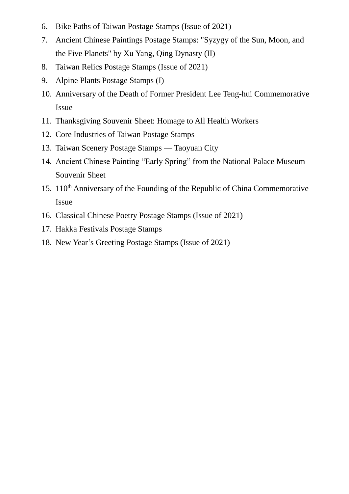- 6. Bike Paths of Taiwan Postage Stamps (Issue of 2021)
- 7. Ancient Chinese Paintings Postage Stamps: "Syzygy of the Sun, Moon, and the Five Planets" by Xu Yang, Qing Dynasty (II)
- 8. Taiwan Relics Postage Stamps (Issue of 2021)
- 9. Alpine Plants Postage Stamps (I)
- 10. Anniversary of the Death of Former President Lee Teng-hui Commemorative Issue
- 11. Thanksgiving Souvenir Sheet: Homage to All Health Workers
- 12. Core Industries of Taiwan Postage Stamps
- 13. Taiwan Scenery Postage Stamps Taoyuan City
- 14. Ancient Chinese Painting "Early Spring" from the National Palace Museum Souvenir Sheet
- 15. 110th Anniversary of the Founding of the Republic of China Commemorative Issue
- 16. Classical Chinese Poetry Postage Stamps (Issue of 2021)
- 17. Hakka Festivals Postage Stamps
- 18. New Year's Greeting Postage Stamps (Issue of 2021)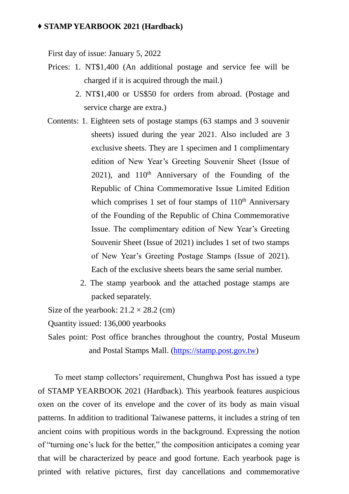#### **STAMP YEARBOOK 2021 (Hardback)**

First day of issue: January 5, 2022

- Prices: 1. NT\$1,400 (An additional postage and service fee will be charged if it is acquired through the mail.)
	- 2. NT\$1,400 or US\$50 for orders from abroad. (Postage and service charge are extra.)
- Contents: 1. Eighteen sets of postage stamps (63 stamps and 3 souvenir sheets) issued during the year 2021. Also included are 3 exclusive sheets. They are 1 specimen and 1 complimentary edition of New Year's Greeting Souvenir Sheet (Issue of  $2021$ ), and  $110<sup>th</sup>$  Anniversary of the Founding of the Republic of China Commemorative Issue Limited Edition which comprises 1 set of four stamps of  $110<sup>th</sup>$  Anniversary of the Founding of the Republic of China Commemorative Issue. The complimentary edition of New Year's Greeting Souvenir Sheet (Issue of 2021) includes 1 set of two stamps of New Year's Greeting Postage Stamps (Issue of 2021). Each of the exclusive sheets bears the same serial number.
	- 2. The stamp yearbook and the attached postage stamps are packed separately.

Size of the yearbook:  $21.2 \times 28.2$  (cm)

Quantity issued: 136,000 yearbooks

Sales point: Post office branches throughout the country, Postal Museum and Postal Stamps Mall. [\(https://stamp.post.gov.tw\)](https://stamp.post.gov.tw/)

To meet stamp collectors' requirement, Chunghwa Post has issued a type of STAMP YEARBOOK 2021 (Hardback). This yearbook features auspicious oxen on the cover of its envelope and the cover of its body as main visual patterns. In addition to traditional Taiwanese patterns, it includes a string of ten ancient coins with propitious words in the background. Expressing the notion of "turning one's luck for the better," the composition anticipates a coming year that will be characterized by peace and good fortune. Each yearbook page is printed with relative pictures, first day cancellations and commemorative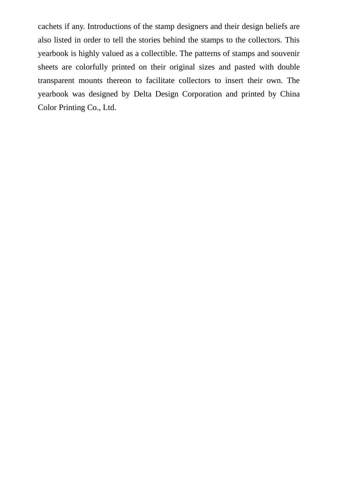cachets if any. Introductions of the stamp designers and their design beliefs are also listed in order to tell the stories behind the stamps to the collectors. This yearbook is highly valued as a collectible. The patterns of stamps and souvenir sheets are colorfully printed on their original sizes and pasted with double transparent mounts thereon to facilitate collectors to insert their own. The yearbook was designed by Delta Design Corporation and printed by China Color Printing Co., Ltd.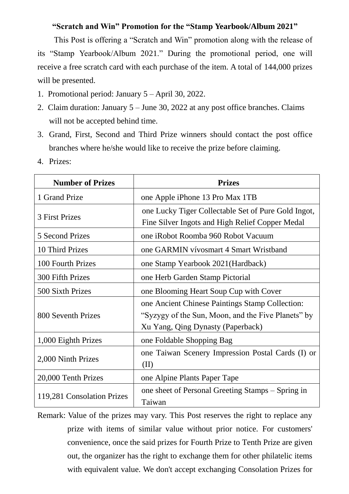### **"Scratch and Win" Promotion for the "Stamp Yearbook/Album 2021"**

This Post is offering a "Scratch and Win" promotion along with the release of its "Stamp Yearbook/Album 2021." During the promotional period, one will receive a free scratch card with each purchase of the item. A total of 144,000 prizes will be presented.

- 1. Promotional period: January 5 April 30, 2022.
- 2. Claim duration: January 5 June 30, 2022 at any post office branches. Claims will not be accepted behind time.
- 3. Grand, First, Second and Third Prize winners should contact the post office branches where he/she would like to receive the prize before claiming.
- **Number of Prizes** 1 Grand Prize and  $\vert$  one Apple iPhone 13 Pro Max 1TB 3 First Prizes one Lucky Tiger Collectable Set of Pure Gold Ingot, Fine Silver Ingots and High Relief Copper Medal 5 Second Prizes one iRobot Roomba 960 Robot Vacuum 10 Third Prizes one GARMIN vívosmart 4 Smart Wristband 100 Fourth Prizes and Tone Stamp Yearbook 2021(Hardback) 300 Fifth Prizes and Terb Garden Stamp Pictorial 500 Sixth Prizes | one Blooming Heart Soup Cup with Cover 800 Seventh Prizes one Ancient Chinese Paintings Stamp Collection: "Syzygy of the Sun, Moon, and the Five Planets" by Xu Yang, Qing Dynasty (Paperback) 1,000 Eighth Prizes one Foldable Shopping Bag 2,000 Ninth Prizes one Taiwan Scenery Impression Postal Cards (I) or (II) 20,000 Tenth Prizes and Supplemental Cone Alpine Plants Paper Tape 119,281 Consolation Prizes one sheet of Personal Greeting Stamps – Spring in Taiwan
- 4. Prizes:

Remark: Value of the prizes may vary. This Post reserves the right to replace any prize with items of similar value without prior notice. For customers' convenience, once the said prizes for Fourth Prize to Tenth Prize are given out, the organizer has the right to exchange them for other philatelic items with equivalent value. We don't accept exchanging Consolation Prizes for